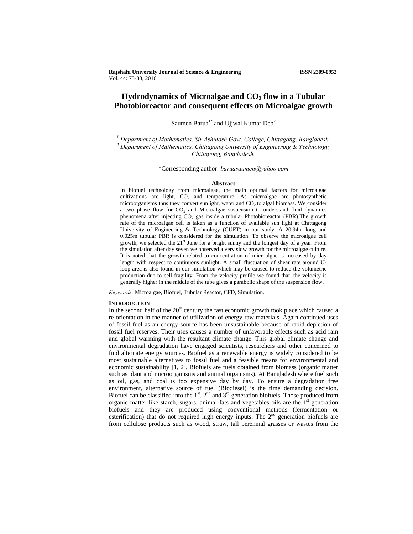**Rajshahi University Journal of Science & Engineering ISSN 2309-0952** Vol. 44: 75-83, 2016

## Hydrodynamics of Microalgae and  $CO<sub>2</sub>$  flow in a Tubular **Photobioreactor and consequent effects on Microalgae growth**

Saumen Barua<sup>1\*</sup> and Ujjwal Kumar Deb<sup>2</sup>

*<sup>1</sup> Department of Mathematics, Sir Ashutosh Govt. College, Chittagong, Bangladesh.* 

<sup>2</sup> Department of Mathematics, Chittagong University of Engineering & Technology, *Chittagong, Bangladesh.* 

\*Corresponding author: *baruasaumen@yahoo.com* 

### **Abstract**

In biofuel technology from microalgae, the main optimal factors for microalgae cultivations are light, CO<sub>2</sub> and temperature. As microalgae are photosynthetic microorganisms thus they convert sunlight, water and  $CO<sub>2</sub>$  to algal biomass. We consider a two phase flow for  $CO<sub>2</sub>$  and Microalgae suspension to understand fluid dynamics phenomena after injecting  $CO<sub>2</sub>$  gas inside a tubular Photobioreactor (PBR). The growth rate of the microalgae cell is taken as a function of available sun light at Chittagong University of Engineering & Technology (CUET) in our study. A 20.94m long and 0.025m tubular PBR is considered for the simulation. To observe the microalgae cell growth, we selected the  $21<sup>st</sup>$  June for a bright sunny and the longest day of a year. From the simulation after day seven we observed a very slow growth for the microalgae culture. It is noted that the growth related to concentration of microalgae is increased by day length with respect to continuous sunlight. A small fluctuation of shear rate around Uloop area is also found in our simulation which may be caused to reduce the volumetric production due to cell fragility. From the velocity profile we found that, the velocity is generally higher in the middle of the tube gives a parabolic shape of the suspension flow.

*Keywords:* Microalgae, Biofuel, Tubular Reactor, CFD, Simulation.

### **INTRODUCTION**

In the second half of the  $20<sup>th</sup>$  century the fast economic growth took place which caused a re-orientation in the manner of utilization of energy raw materials. Again continued uses of fossil fuel as an energy source has been unsustainable because of rapid depletion of fossil fuel reserves. Their uses causes a number of unfavorable effects such as acid rain and global warming with the resultant climate change. This global climate change and environmental degradation have engaged scientists, researchers and other concerned to find alternate energy sources. Biofuel as a renewable energy is widely considered to be most sustainable alternatives to fossil fuel and a feasible means for environmental and economic sustainability [1, 2]. Biofuels are fuels obtained from biomass (organic matter such as plant and microorganisms and animal organisms). At Bangladesh where fuel such as oil, gas, and coal is too expensive day by day. To ensure a degradation free environment, alternative source of fuel (Biodiesel) is the time demanding decision. Biofuel can be classified into the  $1^{st}$ ,  $2^{nd}$  and  $3^{rd}$  generation biofuels. Those produced from Biofuel can be classified into the  $1^{st}$ ,  $2^{nd}$  and  $3^{rd}$  generation biofuels. Those produced from organic matter like starch, sugars, animal fats and vegetables oils are the  $1<sup>st</sup>$  generation biofuels and they are produced using conventional methods (fermentation or esterification) that do not required high energy inputs. The  $2<sup>nd</sup>$  generation biofuels are from cellulose products such as wood, straw, tall perennial grasses or wastes from the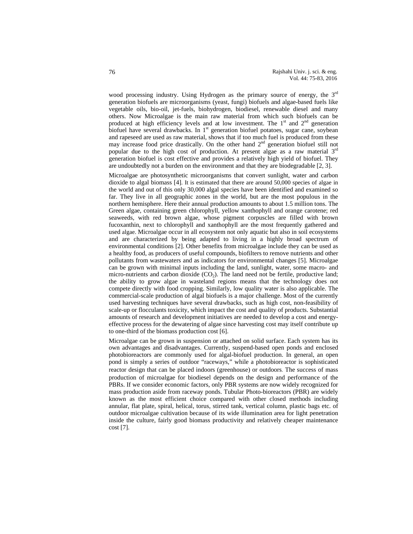wood processing industry. Using Hydrogen as the primary source of energy, the 3<sup>rd</sup> generation biofuels are microorganisms (yeast, fungi) biofuels and algae-based fuels like vegetable oils, bio-oil, jet-fuels, biohydrogen, biodiesel, renewable diesel and many others. Now Microalgae is the main raw material from which such biofuels can be produced at high efficiency levels and at low investment. The  $1<sup>st</sup>$  and  $2<sup>nd</sup>$  generation biofuel have several drawbacks. In  $1<sup>st</sup>$  generation biofuel potatoes, sugar cane, soybean and rapeseed are used as raw material, shows that if too much fuel is produced from these may increase food price drastically. On the other hand  $2<sup>nd</sup>$  generation biofuel still not popular due to the high cost of production. At present algae as a raw material  $3<sup>rd</sup>$ generation biofuel is cost effective and provides a relatively high yield of biofuel. They are undoubtedly not a burden on the environment and that they are biodegradable [2, 3].

Microalgae are photosynthetic microorganisms that convert sunlight, water and carbon dioxide to algal biomass [4]. It is estimated that there are around 50,000 species of algae in the world and out of this only 30,000 algal species have been identified and examined so far. They live in all geographic zones in the world, but are the most populous in the northern hemisphere. Here their annual production amounts to about 1.5 million tons. The Green algae, containing green chlorophyll, yellow xanthophyll and orange carotene; red seaweeds, with red brown algae, whose pigment corpuscles are filled with brown fucoxanthin, next to chlorophyll and xanthophyll are the most frequently gathered and used algae. Microalgae occur in all ecosystem not only aquatic but also in soil ecosystems and are characterized by being adapted to living in a highly broad spectrum of environmental conditions [2]. Other benefits from microalgae include they can be used as a healthy food, as producers of useful compounds, biofilters to remove nutrients and other pollutants from wastewaters and as indicators for environmental changes [5]. Microalgae can be grown with minimal inputs including the land, sunlight, water, some macro- and micro-nutrients and carbon dioxide  $(CO<sub>2</sub>)$ . The land need not be fertile, productive land; the ability to grow algae in wasteland regions means that the technology does not compete directly with food cropping. Similarly, low quality water is also applicable. The commercial-scale production of algal biofuels is a major challenge. Most of the currently used harvesting techniques have several drawbacks, such as high cost, non-feasibility of scale-up or flocculants toxicity, which impact the cost and quality of products. Substantial amounts of research and development initiatives are needed to develop a cost and energyeffective process for the dewatering of algae since harvesting cost may itself contribute up to one-third of the biomass production cost [6].

Microalgae can be grown in suspension or attached on solid surface. Each system has its own advantages and disadvantages. Currently, suspend-based open ponds and enclosed photobioreactors are commonly used for algal-biofuel production. In general, an open pond is simply a series of outdoor "raceways," while a photobioreactor is sophisticated reactor design that can be placed indoors (greenhouse) or outdoors. The success of mass production of microalgae for biodiesel depends on the design and performance of the PBRs. If we consider economic factors, only PBR systems are now widely recognized for mass production aside from raceway ponds. Tubular Photo-bioreactors (PBR) are widely known as the most efficient choice compared with other closed methods including annular, flat plate, spiral, helical, torus, stirred tank, vertical column, plastic bags etc. of outdoor microalgae cultivation because of its wide illumination area for light penetration inside the culture, fairly good biomass productivity and relatively cheaper maintenance cost [7].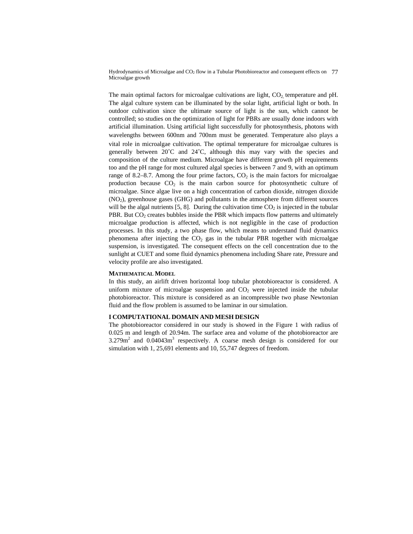Hydrodynamics of Microalgae and  $CO<sub>2</sub>$  flow in a Tubular Photobioreactor and consequent effects on  $77$ Microalgae growth

The main optimal factors for microalgae cultivations are light,  $CO<sub>2</sub>$  temperature and pH. The algal culture system can be illuminated by the solar light, artificial light or both. In outdoor cultivation since the ultimate source of light is the sun, which cannot be controlled; so studies on the optimization of light for PBRs are usually done indoors with artificial illumination. Using artificial light successfully for photosynthesis, photons with wavelengths between 600nm and 700nm must be generated. Temperature also plays a vital role in microalgae cultivation. The optimal temperature for microalgae cultures is generally between 20˚C and 24˚C, although this may vary with the species and composition of the culture medium. Microalgae have different growth pH requirements too and the pH range for most cultured algal species is between 7 and 9, with an optimum range of 8.2–8.7. Among the four prime factors,  $CO<sub>2</sub>$  is the main factors for microalgae production because  $CO<sub>2</sub>$  is the main carbon source for photosynthetic culture of microalgae. Since algae live on a high concentration of carbon dioxide, nitrogen dioxide (NO2), greenhouse gases (GHG) and pollutants in the atmosphere from different sources will be the algal nutrients  $[5, 8]$ . During the cultivation time  $CO<sub>2</sub>$  is injected in the tubular PBR. But  $CO<sub>2</sub>$  creates bubbles inside the PBR which impacts flow patterns and ultimately microalgae production is affected, which is not negligible in the case of production processes. In this study, a two phase flow, which means to understand fluid dynamics phenomena after injecting the  $CO<sub>2</sub>$  gas in the tubular PBR together with microalgae suspension, is investigated. The consequent effects on the cell concentration due to the sunlight at CUET and some fluid dynamics phenomena including Share rate, Pressure and velocity profile are also investigated.

### **MATHEMATICAL MODEL**

In this study, an airlift driven horizontal loop tubular photobioreactor is considered. A uniform mixture of microalgae suspension and  $CO<sub>2</sub>$  were injected inside the tubular photobioreactor. This mixture is considered as an incompressible two phase Newtonian fluid and the flow problem is assumed to be laminar in our simulation.

## **I COMPUTATIONAL DOMAIN AND MESH DESIGN**

The photobioreactor considered in our study is showed in the Figure 1 with radius of 0.025 m and length of 20.94m. The surface area and volume of the photobioreactor are  $3.279$ m<sup>2</sup> and  $0.04043$ m<sup>3</sup> respectively. A coarse mesh design is considered for our simulation with 1, 25,691 elements and 10, 55,747 degrees of freedom.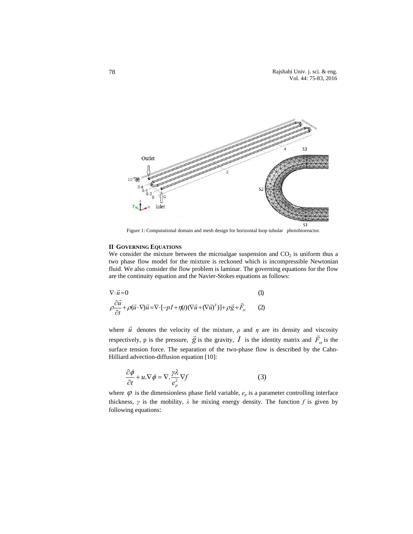

Figure 1: Computational domain and mesh design for horizontal loop tubular photobioreactor.

## **II GOVERNING EQUATIONS**

We consider the mixture between the microalgae suspension and  $CO<sub>2</sub>$  is uniform thus a two phase flow model for the mixture is reckoned which is incompressible Newtonian fluid. We also consider the flow problem is laminar. The governing equations for the flow are the continuity equation and the Navier-Stokes equations as follows:

$$
\nabla \cdot \vec{u} = 0
$$
\n
$$
\rho \frac{\partial \vec{u}}{\partial t} + \rho (\vec{u} \cdot \nabla) \vec{u} = \nabla \cdot [-pI + \eta(t) (\nabla \vec{u} + (\nabla \vec{u})^T)] + \rho \vec{g} + \vec{F}_{st}
$$
\n(2)

where  $\vec{u}$  denotes the velocity of the mixture,  $\rho$  and  $\eta$  are its density and viscosity respectively, p is the pressure,  $\vec{g}$  is the gravity, *I* is the identity matrix and  $\vec{F}_{st}$  is the surface tension force. The separation of the two-phase flow is described by the Cahn-Hilliard advection-diffusion equation [10]:

$$
\frac{\partial \phi}{\partial t} + u \cdot \nabla \phi = \nabla \cdot \frac{\gamma \lambda}{e_p^2} \nabla f \tag{3}
$$

where  $\varphi$  is the dimensionless phase field variable,  $e_p$  is a parameter controlling interface thickness,  $\gamma$  is the mobility,  $\lambda$  he mixing energy density. The function  $f$  is given by following equations: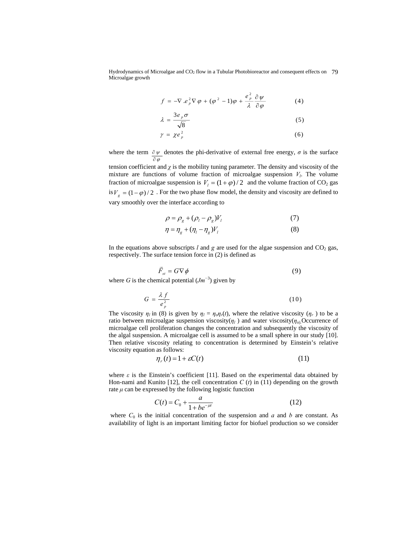Hydrodynamics of Microalgae and  $CO<sub>2</sub>$  flow in a Tubular Photobioreactor and consequent effects on  $79$ Microalgae growth

$$
f = -\nabla \cdot e_p^2 \nabla \varphi + (\varphi^2 - 1)\varphi + \frac{e_p^2}{\lambda} \frac{\partial \psi}{\partial \varphi}
$$
 (4)

$$
\lambda = \frac{3e_p \sigma}{\sqrt{8}}
$$
 (5)

$$
\gamma = \chi e_p^2 \tag{6}
$$

where the term  $\partial \psi$  denotes the phi-derivative of external free energy,  $\sigma$  is the surface  $\partial \varphi$ 

tension coefficient and  $\chi$  is the mobility tuning parameter. The density and viscosity of the mixture are functions of volume fraction of microalgae suspension  $V_l$ . The volume fraction of microalgae suspension is  $V_1 = (1 + \varphi)/2$  and the volume fraction of CO<sub>2</sub> gas is  $V_g = (1 - \varphi)/2$ . For the two phase flow model, the density and viscosity are defined to vary smoothly over the interface according to

$$
\rho = \rho_g + (\rho_l - \rho_g) V_l \tag{7}
$$

$$
\eta = \eta_g + (\eta_l - \eta_g)V_l
$$
\n(8)

In the equations above subscripts  $l$  and  $g$  are used for the algae suspension and  $CO<sub>2</sub>$  gas, respectively. The surface tension force in (2) is defined as

$$
\vec{F}_{st} = G \nabla \phi \tag{9}
$$

where *G* is the chemical potential  $(Jm^{-3})$  given by

$$
G = \frac{\lambda f}{e_p^2} \tag{10}
$$

The viscosity  $\eta_l$  in (8) is given by  $\eta_l = \eta_0 \eta_r(t)$ , where the relative viscosity ( $\eta_r$ ) to be a ratio between microalgae suspension viscosity( $\eta$ <sup>*l*</sup>) and water viscosity( $\eta$ <sup>o</sup><sub>0</sub>).Occurrence of microalgae cell proliferation changes the concentration and subsequently the viscosity of the algal suspension. A microalgae cell is assumed to be a small sphere in our study [10]. Then relative viscosity relating to concentration is determined by Einstein's relative viscosity equation as follows:

$$
\eta_r(t) = 1 + \varepsilon C(t) \tag{11}
$$

where  $\varepsilon$  is the Einstein's coefficient [11]. Based on the experimental data obtained by Hon-nami and Kunito  $[12]$ , the cell concentration  $C(t)$  in  $(11)$  depending on the growth rate  $\mu$  can be expressed by the following logistic function

$$
C(t) = C_0 + \frac{a}{1 + be^{-\mu t}}
$$
 (12)

where  $C_0$  is the initial concentration of the suspension and *a* and *b* are constant. As availability of light is an important limiting factor for biofuel production so we consider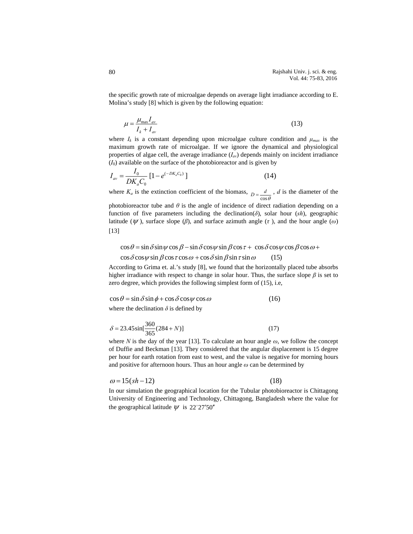the specific growth rate of microalgae depends on average light irradiance according to E. Molina's study [8] which is given by the following equation:

$$
\mu = \frac{\mu_{\text{max}} I_{av}}{I_k + I_{av}}
$$
\n(13)

where  $I_k$  is a constant depending upon microalgae culture condition and  $\mu_{max}$  is the maximum growth rate of microalgae. If we ignore the dynamical and physiological properties of algae cell, the average irradiance  $(I_{av})$  depends mainly on incident irradiance  $(I_0)$  available on the surface of the photobioreactor and is given by

$$
I_{av} = \frac{I_0}{DK_a C_0} \left[1 - e^{(-DK_a C_0)}\right]
$$
 (14)

where  $K_a$  is the extinction coefficient of the biomass,  $D = \frac{d}{\cos \theta}$ , *d* is the diameter of the

photobioreactor tube and  $\theta$  is the angle of incidence of direct radiation depending on a function of five parameters including the declination( $\delta$ ), solar hour (*sh*), geographic latitude ( $\psi$ ), surface slope ( $\beta$ ), and surface azimuth angle ( $\tau$ ), and the hour angle ( $\omega$ ) [13]

# $\cos \theta = \sin \delta \sin \psi \cos \beta - \sin \delta \cos \psi \sin \beta \cos \tau + \cos \delta \cos \psi \cos \beta \cos \omega +$  $\cos \delta \cos \psi \sin \beta \cos \tau \cos \omega + \cos \delta \sin \beta \sin \tau \sin \omega$  (15)

According to Grima et. al.'s study [8], we found that the horizontally placed tube absorbs higher irradiance with respect to change in solar hour. Thus, the surface slope *β* is set to zero degree, which provides the following simplest form of (15), i.e,

$$
\cos \theta = \sin \delta \sin \phi + \cos \delta \cos \psi \cos \omega \tag{16}
$$

where the declination  $\delta$  is defined by

$$
\delta = 23.45 \sin[\frac{360}{365}(284 + N)] \tag{17}
$$

where *N* is the day of the year [13]. To calculate an hour angle  $\omega$ , we follow the concept of Duffie and Beckman [13]. They considered that the angular displacement is 15 degree per hour for earth rotation from east to west, and the value is negative for morning hours and positive for afternoon hours. Thus an hour angle *ω* can be determined by

$$
\omega = 15(sh - 12) \tag{18}
$$

In our simulation the geographical location for the Tubular photobioreactor is Chittagong University of Engineering and Technology, Chittagong, Bangladesh where the value for the geographical latitude  $\psi$  is 22°27′50″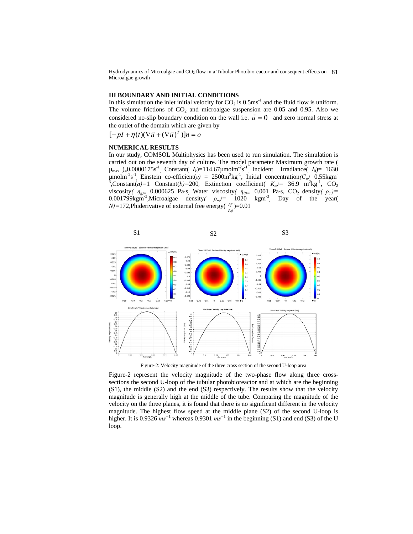Hydrodynamics of Microalgae and  $CO<sub>2</sub>$  flow in a Tubular Photobioreactor and consequent effects on  $81$ Microalgae growth

## **III BOUNDARY AND INITIAL CONDITIONS**

In this simulation the inlet initial velocity for  $CO_2$  is  $0.5 \text{ms}^{-1}$  and the fluid flow is uniform. The volume frictions of  $CO<sub>2</sub>$  and microalgae suspension are 0.05 and 0.95. Also we considered no-slip boundary condition on the wall i.e.  $\vec{u} = 0$  and zero normal stress at the outlet of the domain which are given by

 $[-pI + \eta(t)(\nabla \vec{u} + (\nabla \vec{u})^T)]n = o$ 

## **NUMERICAL RESULTS**

In our study, COMSOL Multiphysics has been used to run simulation. The simulation is carried out on the seventh day of culture. The model parameter Maximum growth rate (  $\mu_{\text{max}}$  )=0.0000175s<sup>-1</sup>, Constant(  $I_k$ )=114.67 $\mu$ molm<sup>-2</sup>s<sup>-1</sup>, Incident Irradiance(  $I_0$ )= 1630  $\mu$ molm<sup>-2</sup>s<sup>-1</sup>, Einstein co-efficient( $\varepsilon$ ) = 2500m<sup>3</sup>kg<sup>-1</sup>, Initial concentration( $C_o$ )=0.55kgm<sup>-</sup> <sup>3</sup>,Constant(*a*)=1 Constant(*b*)=200, Extinction coefficient( $K_a$ )= 36.9 m<sup>2</sup>kg<sup>-1</sup>, CO<sub>2</sub> viscosity(  $\eta_{g} = 0.000625$  Pa·s<sub>i</sub> Water viscosity(  $\eta_{0} = 0.001$  Pa·s, CO<sub>2</sub> density(  $\rho_c$ )= 0.001799kgm<sup>-3</sup>,Microalgae density $(\rho_m)$  = 1020 kgm<sup>-3</sup>. Day of the year *N)*=172,Phiderivative of external free energy( $\frac{\partial f}{\partial \phi}$ )=0.01



Figure-2: Velocity magnitude of the three cross section of the second U-loop area

Figure-2 represent the velocity magnitude of the two-phase flow along three crosssections the second U-loop of the tubular photobioreactor and at which are the beginning (S1), the middle (S2) and the end (S3) respectively. The results show that the velocity magnitude is generally high at the middle of the tube. Comparing the magnitude of the velocity on the three planes, it is found that there is no significant different in the velocity magnitude. The highest flow speed at the middle plane (S2) of the second U-loop is higher. It is 0*.*9326 *ms<sup>−</sup>*<sup>1</sup> whereas 0.9301 *ms<sup>−</sup>*<sup>1</sup> in the beginning (S1) and end (S3) of the U loop.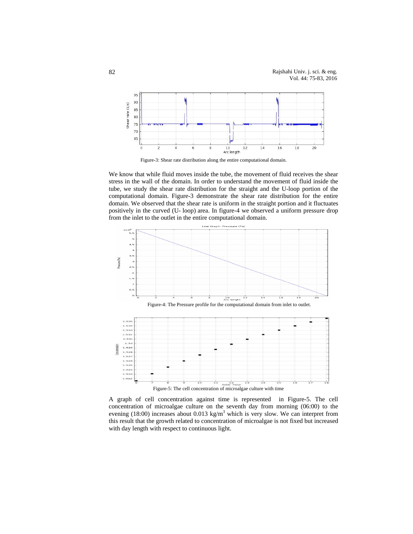

Figure-3: Shear rate distribution along the entire computational domain.

We know that while fluid moves inside the tube, the movement of fluid receives the shear stress in the wall of the domain. In order to understand the movement of fluid inside the tube, we study the shear rate distribution for the straight and the U-loop portion of the computational domain. Figure-3 demonstrate the shear rate distribution for the entire domain. We observed that the shear rate is uniform in the straight portion and it fluctuates positively in the curved (U- loop) area. In figure-4 we observed a uniform pressure drop from the inlet to the outlet in the entire computational domain.





A graph of cell concentration against time is represented in Figure-5. The cell concentration of microalgae culture on the seventh day from morning (06:00) to the evening (18:00) increases about 0.013 kg/m<sup>3</sup> which is very slow. We can interpret from this result that the growth related to concentration of microalgae is not fixed but increased with day length with respect to continuous light.